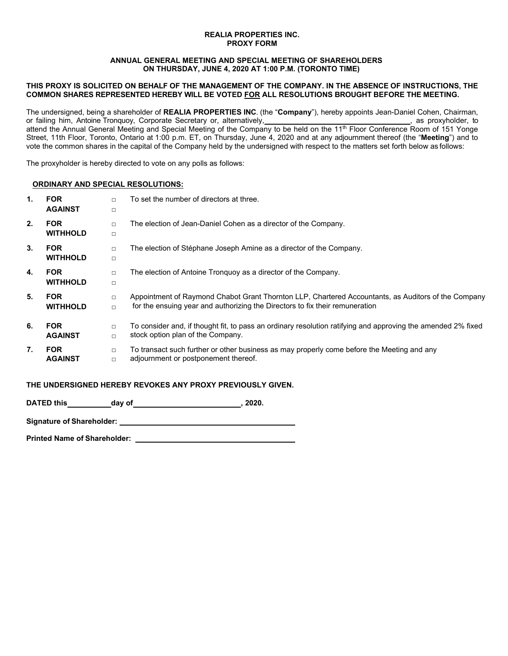#### **REALIA PROPERTIES INC. PROXY FORM**

### **ANNUAL GENERAL MEETING AND SPECIAL MEETING OF SHAREHOLDERS ON THURSDAY, JUNE 4, 2020 AT 1:00 P.M. (TORONTO TIME)**

### **THIS PROXY IS SOLICITED ON BEHALF OF THE MANAGEMENT OF THE COMPANY. IN THE ABSENCE OF INSTRUCTIONS, THE COMMON SHARES REPRESENTED HEREBY WILL BE VOTED FOR ALL RESOLUTIONS BROUGHT BEFORE THE MEETING.**

The undersigned, being a shareholder of **REALIA PROPERTIES INC**. (the "**Company**"), hereby appoints Jean-Daniel Cohen, Chairman, or failing him, Antoine Tronquoy, Corporate Secretary or, alternatively, , as proxyholder, to attend the Annual General Meeting and Special Meeting of the Company to be held on the 11<sup>th</sup> Floor Conference Room of 151 Yonge Street, 11th Floor, Toronto, Ontario at 1:00 p.m. ET, on Thursday, June 4, 2020 and at any adjournment thereof (the "**Meeting**") and to vote the common shares in the capital of the Company held by the undersigned with respect to the matters set forth below as follows:

The proxyholder is hereby directed to vote on any polls as follows:

## **ORDINARY AND SPECIAL RESOLUTIONS:**

| $\mathbf{1}$ . | <b>FOR</b><br><b>AGAINST</b>  | $\Box$<br>$\Box$ | To set the number of directors at three.                                                                                                                                            |
|----------------|-------------------------------|------------------|-------------------------------------------------------------------------------------------------------------------------------------------------------------------------------------|
| 2.             | <b>FOR</b><br><b>WITHHOLD</b> | $\Box$<br>$\Box$ | The election of Jean-Daniel Cohen as a director of the Company.                                                                                                                     |
| 3.             | <b>FOR</b><br><b>WITHHOLD</b> | $\Box$<br>$\Box$ | The election of Stéphane Joseph Amine as a director of the Company.                                                                                                                 |
| 4.             | <b>FOR</b><br><b>WITHHOLD</b> | $\Box$<br>$\Box$ | The election of Antoine Tronquoy as a director of the Company.                                                                                                                      |
| 5.             | <b>FOR</b><br><b>WITHHOLD</b> | $\Box$<br>$\Box$ | Appointment of Raymond Chabot Grant Thornton LLP, Chartered Accountants, as Auditors of the Company<br>for the ensuing year and authorizing the Directors to fix their remuneration |
| 6.             | <b>FOR</b><br><b>AGAINST</b>  | $\Box$<br>$\Box$ | To consider and, if thought fit, to pass an ordinary resolution ratifying and approving the amended 2% fixed<br>stock option plan of the Company.                                   |
| 7.             | <b>FOR</b><br><b>AGAINST</b>  | $\Box$<br>$\Box$ | To transact such further or other business as may properly come before the Meeting and any<br>adjournment or postponement thereof.                                                  |

# **THE UNDERSIGNED HEREBY REVOKES ANY PROXY PREVIOUSLY GIVEN.**

**DATED this day of , 2020.** 

**Signature of Shareholder:**

**Printed Name of Shareholder:**